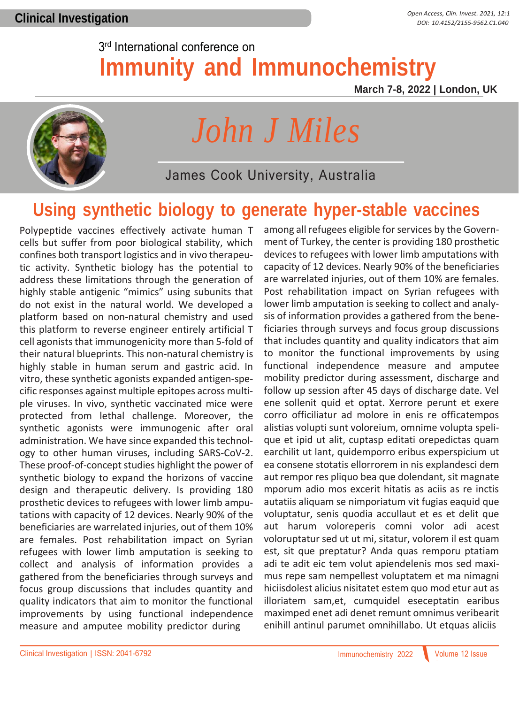### 3 rd International conference on **Immunity and Immunochemistry**

**March 7-8, 2022 | London, UK**



# *John J Miles*

James Cook University, Australia

### **Using synthetic biology to generate hyper-stable vaccines**

Polypeptide vaccines effectively activate human T cells but suffer from poor biological stability, which confines both transport logistics and in vivo therapeutic activity. Synthetic biology has the potential to address these limitations through the generation of highly stable antigenic "mimics" using subunits that do not exist in the natural world. We developed a platform based on non-natural chemistry and used this platform to reverse engineer entirely artificial T cell agonists that immunogenicity more than 5-fold of their natural blueprints. This non-natural chemistry is highly stable in human serum and gastric acid. In vitro, these synthetic agonists expanded antigen-specific responses against multiple epitopes across multiple viruses. In vivo, synthetic vaccinated mice were protected from lethal challenge. Moreover, the synthetic agonists were immunogenic after oral administration. We have since expanded this technology to other human viruses, including SARS-CoV-2. These proof-of-concept studies highlight the power of synthetic biology to expand the horizons of vaccine design and therapeutic delivery. Is providing 180 prosthetic devices to refugees with lower limb amputations with capacity of 12 devices. Nearly 90% of the beneficiaries are warrelated injuries, out of them 10% are females. Post rehabilitation impact on Syrian refugees with lower limb amputation is seeking to collect and analysis of information provides a gathered from the beneficiaries through surveys and focus group discussions that includes quantity and quality indicators that aim to monitor the functional improvements by using functional independence measure and amputee mobility predictor during

among all refugees eligible for services by the Government of Turkey, the center is providing 180 prosthetic devices to refugees with lower limb amputations with capacity of 12 devices. Nearly 90% of the beneficiaries are warrelated injuries, out of them 10% are females. Post rehabilitation impact on Syrian refugees with lower limb amputation is seeking to collect and analysis of information provides a gathered from the beneficiaries through surveys and focus group discussions that includes quantity and quality indicators that aim to monitor the functional improvements by using functional independence measure and amputee mobility predictor during assessment, discharge and follow up session after 45 days of discharge date. Vel ene sollenit quid et optat. Xerrore perunt et exere corro officiliatur ad molore in enis re officatempos alistias volupti sunt voloreium, omnime volupta spelique et ipid ut alit, cuptasp editati orepedictas quam earchilit ut lant, quidemporro eribus experspicium ut ea consene stotatis ellorrorem in nis explandesci dem aut rempor res pliquo bea que dolendant, sit magnate mporum adio mos excerit hitatis as aciis as re inctis autatiis aliquam se nimporiatum vit fugias eaquid que voluptatur, senis quodia accullaut et es et delit que aut harum voloreperis comni volor adi acest voloruptatur sed ut ut mi, sitatur, volorem il est quam est, sit que preptatur? Anda quas remporu ptatiam adi te adit eic tem volut apiendelenis mos sed maximus repe sam nempellest voluptatem et ma nimagni hiciisdolest alicius nisitatet estem quo mod etur aut as illoriatem sam,et, cumquidel eseceptatin earibus maximped enet adi denet remunt omnimus veribearit enihill antinul parumet omnihillabo. Ut etquas aliciis